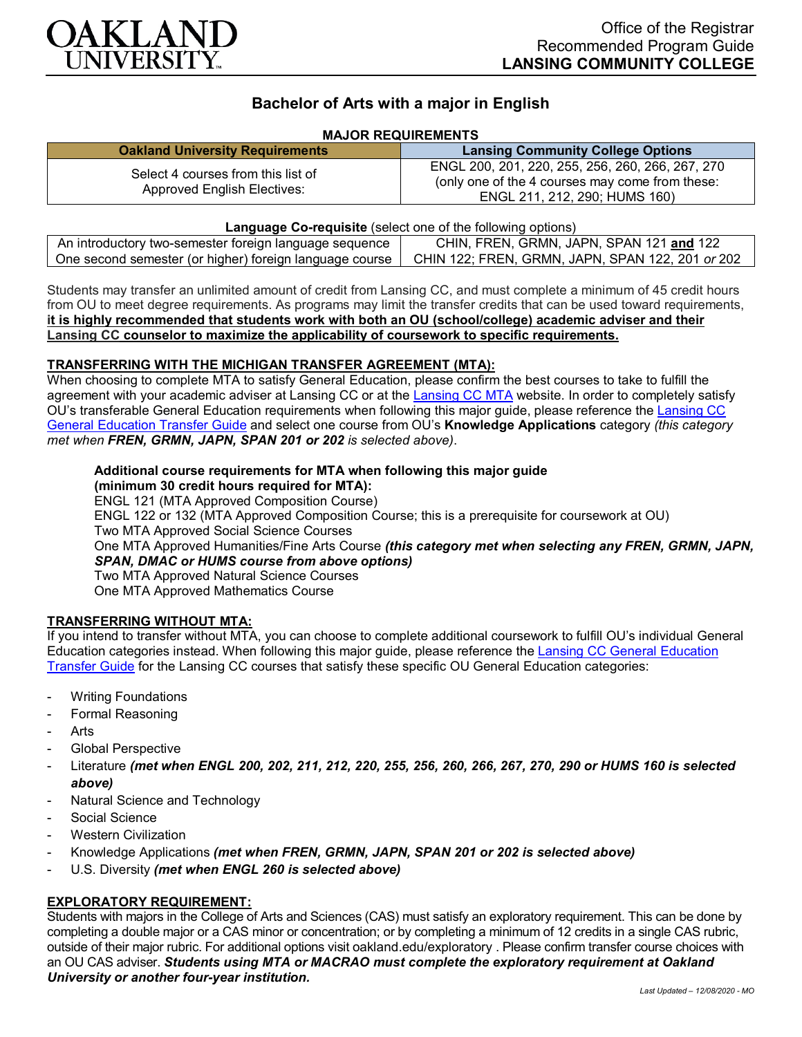

# **Bachelor of Arts with a major in English**

#### **MAJOR REQUIREMENTS**

|                                                                   | <b>Lansing Community College Options</b>                                                                                             |
|-------------------------------------------------------------------|--------------------------------------------------------------------------------------------------------------------------------------|
| Select 4 courses from this list of<br>Approved English Electives: | ENGL 200, 201, 220, 255, 256, 260, 266, 267, 270<br>(only one of the 4 courses may come from these:<br>ENGL 211, 212, 290; HUMS 160) |

**Language Co-requisite** (select one of the following options) An introductory two-semester foreign language sequence **CHIN, FREN, GRMN, JAPN, SPAN 121 and** 122 One second semester (or higher) foreign language course | CHIN 122; FREN, GRMN, JAPN, SPAN 122, 201 or 202

Students may transfer an unlimited amount of credit from Lansing CC, and must complete a minimum of 45 credit hours from OU to meet degree requirements. As programs may limit the transfer credits that can be used toward requirements, **it is highly recommended that students work with both an OU (school/college) academic adviser and their Lansing CC counselor to maximize the applicability of coursework to specific requirements.**

#### **TRANSFERRING WITH THE MICHIGAN TRANSFER AGREEMENT (MTA):**

When choosing to complete MTA to satisfy General Education, please confirm the best courses to take to fulfill the agreement with your academic adviser at Lansing CC or at the [Lansing CC MTA](https://www.lcc.edu/academics/transfer/mta.html) website. In order to completely satisfy OU's transferable General Education requirements when following this major guide, please reference the [Lansing CC](https://www.oakland.edu/Assets/Oakland/program-guides/lansing-community-college/university-general-education-requirements/Lansing%20Gen%20Ed.pdf)  [General Education Transfer Guide](https://www.oakland.edu/Assets/Oakland/program-guides/lansing-community-college/university-general-education-requirements/Lansing%20Gen%20Ed.pdf) and select one course from OU's **Knowledge Applications** category *(this category met when FREN, GRMN, JAPN, SPAN 201 or 202 is selected above)*.

## **Additional course requirements for MTA when following this major guide (minimum 30 credit hours required for MTA):**

ENGL 121 (MTA Approved Composition Course) ENGL 122 or 132 (MTA Approved Composition Course; this is a prerequisite for coursework at OU) Two MTA Approved Social Science Courses One MTA Approved Humanities/Fine Arts Course *(this category met when selecting any FREN, GRMN, JAPN, SPAN, DMAC or HUMS course from above options)* Two MTA Approved Natural Science Courses One MTA Approved Mathematics Course

### **TRANSFERRING WITHOUT MTA:**

If you intend to transfer without MTA, you can choose to complete additional coursework to fulfill OU's individual General Education categories instead. When following this major guide, please reference the [Lansing CC General Education](https://www.oakland.edu/Assets/Oakland/program-guides/lansing-community-college/university-general-education-requirements/Lansing%20Gen%20Ed.pdf)  [Transfer Guide](https://www.oakland.edu/Assets/Oakland/program-guides/lansing-community-college/university-general-education-requirements/Lansing%20Gen%20Ed.pdf) for the Lansing CC courses that satisfy these specific OU General Education categories:

- **Writing Foundations**
- Formal Reasoning
- **Arts**
- Global Perspective
- Literature *(met when ENGL 200, 202, 211, 212, 220, 255, 256, 260, 266, 267, 270, 290 or HUMS 160 is selected above)*
- Natural Science and Technology
- Social Science
- **Western Civilization**
- Knowledge Applications *(met when FREN, GRMN, JAPN, SPAN 201 or 202 is selected above)*
- U.S. Diversity *(met when ENGL 260 is selected above)*

## **EXPLORATORY REQUIREMENT:**

Students with majors in the College of Arts and Sciences (CAS) must satisfy an exploratory requirement. This can be done by completing a double major or a CAS minor or concentration; or by completing a minimum of 12 credits in a single CAS rubric, outside of their major rubric. For additional options visit [oakland.edu/exploratory](http://www.oakland.edu/exploratory) . Please confirm transfer course choices with an OU CAS adviser. *Students using MTA or MACRAO must complete the exploratory requirement at Oakland University or another four-year institution.*